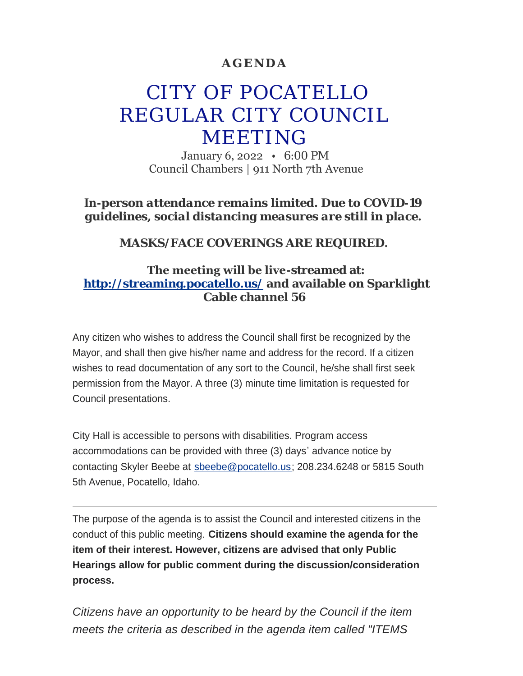## **AGENDA**

# CITY OF POCATELLO REGULAR CITY COUNCIL MEETING

January 6, 2022 • 6:00 PM Council Chambers | 911 North 7th Avenue

*In-person attendance remains limited. Due to COVID-19 guidelines, social distancing measures are still in place.*

*MASKS/FACE COVERINGS ARE REQUIRED.*

## **The meeting will be live-streamed at: <http://streaming.pocatello.us/> and available on Sparklight Cable channel 56**

Any citizen who wishes to address the Council shall first be recognized by the Mayor, and shall then give his/her name and address for the record. If a citizen wishes to read documentation of any sort to the Council, he/she shall first seek permission from the Mayor. A three (3) minute time limitation is requested for Council presentations.

City Hall is accessible to persons with disabilities. Program access accommodations can be provided with three (3) days' advance notice by contacting Skyler Beebe at [sbeebe@pocatello.us;](mailto:sbeebe@pocatello.us) 208.234.6248 or 5815 South 5th Avenue, Pocatello, Idaho.

The purpose of the agenda is to assist the Council and interested citizens in the conduct of this public meeting. **Citizens should examine the agenda for the item of their interest. However, citizens are advised that only Public Hearings allow for public comment during the discussion/consideration process.**

*Citizens have an opportunity to be heard by the Council if the item meets the criteria as described in the agenda item called "ITEMS*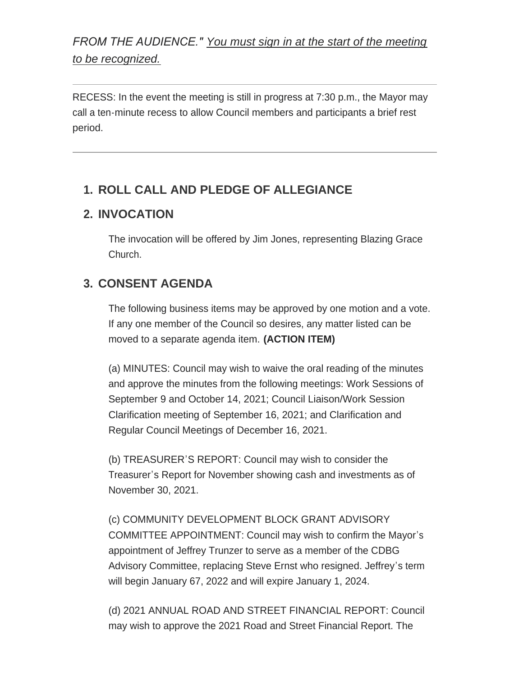*FROM THE AUDIENCE." You must sign in at the start of the meeting to be recognized.*

RECESS: In the event the meeting is still in progress at 7:30 p.m., the Mayor may call a ten-minute recess to allow Council members and participants a brief rest period.

# **ROLL CALL AND PLEDGE OF ALLEGIANCE 1.**

## **INVOCATION 2.**

The invocation will be offered by Jim Jones, representing Blazing Grace Church.

## **CONSENT AGENDA 3.**

The following business items may be approved by one motion and a vote. If any one member of the Council so desires, any matter listed can be moved to a separate agenda item. **(ACTION ITEM)**

(a) MINUTES: Council may wish to waive the oral reading of the minutes and approve the minutes from the following meetings: Work Sessions of September 9 and October 14, 2021; Council Liaison/Work Session Clarification meeting of September 16, 2021; and Clarification and Regular Council Meetings of December 16, 2021.

(b) TREASURER'S REPORT: Council may wish to consider the Treasurer's Report for November showing cash and investments as of November 30, 2021.

(c) COMMUNITY DEVELOPMENT BLOCK GRANT ADVISORY COMMITTEE APPOINTMENT: Council may wish to confirm the Mayor's appointment of Jeffrey Trunzer to serve as a member of the CDBG Advisory Committee, replacing Steve Ernst who resigned. Jeffrey's term will begin January 67, 2022 and will expire January 1, 2024.

(d) 2021 ANNUAL ROAD AND STREET FINANCIAL REPORT: Council may wish to approve the 2021 Road and Street Financial Report. The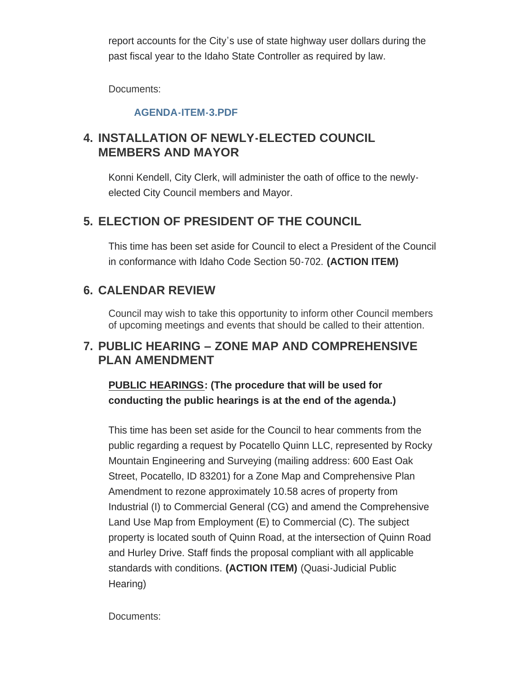report accounts for the City's use of state highway user dollars during the past fiscal year to the Idaho State Controller as required by law.

Documents:

## **[AGENDA-ITEM-3.PDF](https://www.pocatello.us/AgendaCenter/ViewFile/Item/3169?fileID=10378)**

# **INSTALLATION OF NEWLY-ELECTED COUNCIL 4. MEMBERS AND MAYOR**

Konni Kendell, City Clerk, will administer the oath of office to the newlyelected City Council members and Mayor.

# **ELECTION OF PRESIDENT OF THE COUNCIL 5.**

This time has been set aside for Council to elect a President of the Council in conformance with Idaho Code Section 50-702. **(ACTION ITEM)**

# **CALENDAR REVIEW 6.**

Council may wish to take this opportunity to inform other Council members of upcoming meetings and events that should be called to their attention.

## **PUBLIC HEARING – ZONE MAP AND COMPREHENSIVE 7. PLAN AMENDMENT**

**PUBLIC HEARINGS: (The procedure that will be used for conducting the public hearings is at the end of the agenda.)**

This time has been set aside for the Council to hear comments from the public regarding a request by Pocatello Quinn LLC, represented by Rocky Mountain Engineering and Surveying (mailing address: 600 East Oak Street, Pocatello, ID 83201) for a Zone Map and Comprehensive Plan Amendment to rezone approximately 10.58 acres of property from Industrial (I) to Commercial General (CG) and amend the Comprehensive Land Use Map from Employment (E) to Commercial (C). The subject property is located south of Quinn Road, at the intersection of Quinn Road and Hurley Drive. Staff finds the proposal compliant with all applicable standards with conditions. **(ACTION ITEM)** (Quasi-Judicial Public Hearing)

Documents: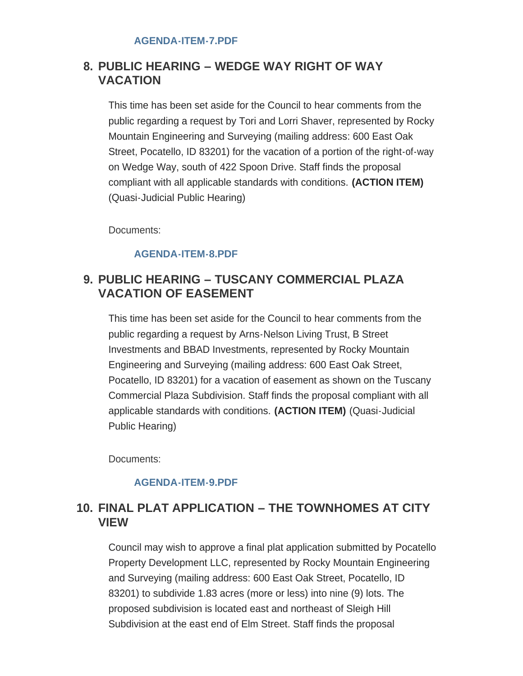# **PUBLIC HEARING – WEDGE WAY RIGHT OF WAY 8. VACATION**

This time has been set aside for the Council to hear comments from the public regarding a request by Tori and Lorri Shaver, represented by Rocky Mountain Engineering and Surveying (mailing address: 600 East Oak Street, Pocatello, ID 83201) for the vacation of a portion of the right-of-way on Wedge Way, south of 422 Spoon Drive. Staff finds the proposal compliant with all applicable standards with conditions. **(ACTION ITEM)** (Quasi-Judicial Public Hearing)

Documents:

### **[AGENDA-ITEM-8.PDF](https://www.pocatello.us/AgendaCenter/ViewFile/Item/3173?fileID=10380)**

## **PUBLIC HEARING – TUSCANY COMMERCIAL PLAZA 9. VACATION OF EASEMENT**

This time has been set aside for the Council to hear comments from the public regarding a request by Arns-Nelson Living Trust, B Street Investments and BBAD Investments, represented by Rocky Mountain Engineering and Surveying (mailing address: 600 East Oak Street, Pocatello, ID 83201) for a vacation of easement as shown on the Tuscany Commercial Plaza Subdivision. Staff finds the proposal compliant with all applicable standards with conditions. **(ACTION ITEM)** (Quasi-Judicial Public Hearing)

Documents:

#### **[AGENDA-ITEM-9.PDF](https://www.pocatello.us/AgendaCenter/ViewFile/Item/3174?fileID=10381)**

# **FINAL PLAT APPLICATION – THE TOWNHOMES AT CITY 10. VIEW**

Council may wish to approve a final plat application submitted by Pocatello Property Development LLC, represented by Rocky Mountain Engineering and Surveying (mailing address: 600 East Oak Street, Pocatello, ID 83201) to subdivide 1.83 acres (more or less) into nine (9) lots. The proposed subdivision is located east and northeast of Sleigh Hill Subdivision at the east end of Elm Street. Staff finds the proposal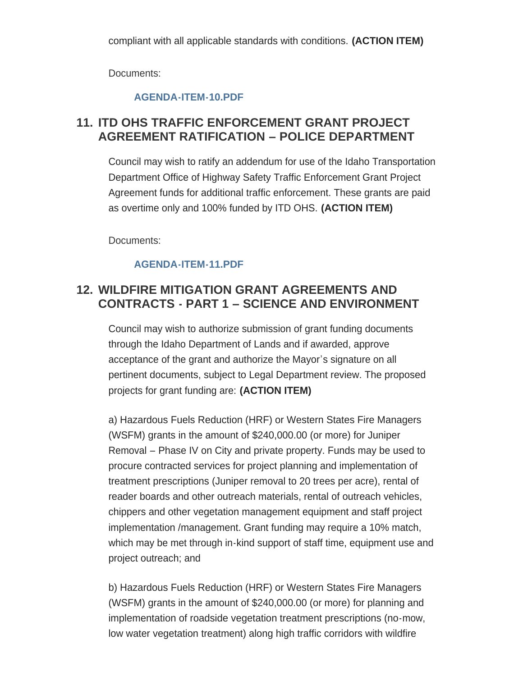Documents:

## **[AGENDA-ITEM-10.PDF](https://www.pocatello.us/AgendaCenter/ViewFile/Item/3175?fileID=10382)**

# **11. ITD OHS TRAFFIC ENFORCEMENT GRANT PROJECT AGREEMENT RATIFICATION – POLICE DEPARTMENT**

Council may wish to ratify an addendum for use of the Idaho Transportation Department Office of Highway Safety Traffic Enforcement Grant Project Agreement funds for additional traffic enforcement. These grants are paid as overtime only and 100% funded by ITD OHS. **(ACTION ITEM)**

Documents:

## **[AGENDA-ITEM-11.PDF](https://www.pocatello.us/AgendaCenter/ViewFile/Item/3176?fileID=10383)**

# **WILDFIRE MITIGATION GRANT AGREEMENTS AND 12. CONTRACTS - PART 1 – SCIENCE AND ENVIRONMENT**

Council may wish to authorize submission of grant funding documents through the Idaho Department of Lands and if awarded, approve acceptance of the grant and authorize the Mayor's signature on all pertinent documents, subject to Legal Department review. The proposed projects for grant funding are: **(ACTION ITEM)**

a) Hazardous Fuels Reduction (HRF) or Western States Fire Managers (WSFM) grants in the amount of \$240,000.00 (or more) for Juniper Removal – Phase IV on City and private property. Funds may be used to procure contracted services for project planning and implementation of treatment prescriptions (Juniper removal to 20 trees per acre), rental of reader boards and other outreach materials, rental of outreach vehicles, chippers and other vegetation management equipment and staff project implementation /management. Grant funding may require a 10% match, which may be met through in-kind support of staff time, equipment use and project outreach; and

b) Hazardous Fuels Reduction (HRF) or Western States Fire Managers (WSFM) grants in the amount of \$240,000.00 (or more) for planning and implementation of roadside vegetation treatment prescriptions (no-mow, low water vegetation treatment) along high traffic corridors with wildfire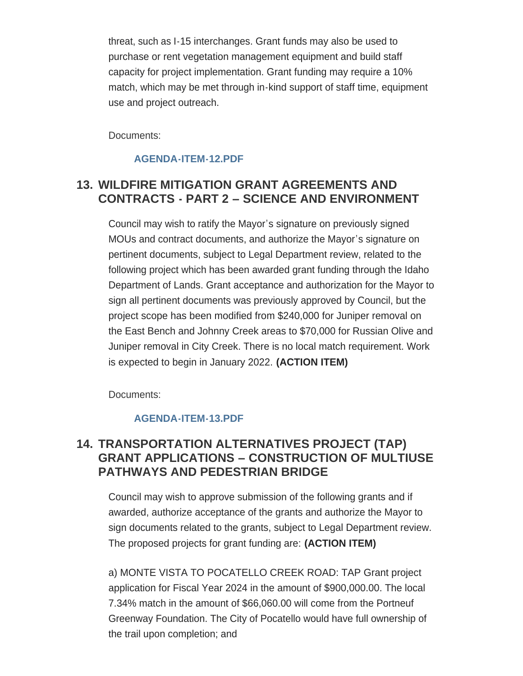threat, such as I-15 interchanges. Grant funds may also be used to purchase or rent vegetation management equipment and build staff capacity for project implementation. Grant funding may require a 10% match, which may be met through in-kind support of staff time, equipment use and project outreach.

Documents:

## **[AGENDA-ITEM-12.PDF](https://www.pocatello.us/AgendaCenter/ViewFile/Item/3177?fileID=10384)**

## **WILDFIRE MITIGATION GRANT AGREEMENTS AND 13. CONTRACTS - PART 2 – SCIENCE AND ENVIRONMENT**

Council may wish to ratify the Mayor's signature on previously signed MOUs and contract documents, and authorize the Mayor's signature on pertinent documents, subject to Legal Department review, related to the following project which has been awarded grant funding through the Idaho Department of Lands. Grant acceptance and authorization for the Mayor to sign all pertinent documents was previously approved by Council, but the project scope has been modified from \$240,000 for Juniper removal on the East Bench and Johnny Creek areas to \$70,000 for Russian Olive and Juniper removal in City Creek. There is no local match requirement. Work is expected to begin in January 2022. **(ACTION ITEM)**

Documents:

## **[AGENDA-ITEM-13.PDF](https://www.pocatello.us/AgendaCenter/ViewFile/Item/3178?fileID=10385)**

# **TRANSPORTATION ALTERNATIVES PROJECT (TAP) 14. GRANT APPLICATIONS – CONSTRUCTION OF MULTIUSE PATHWAYS AND PEDESTRIAN BRIDGE**

Council may wish to approve submission of the following grants and if awarded, authorize acceptance of the grants and authorize the Mayor to sign documents related to the grants, subject to Legal Department review. The proposed projects for grant funding are: **(ACTION ITEM)**

a) MONTE VISTA TO POCATELLO CREEK ROAD: TAP Grant project application for Fiscal Year 2024 in the amount of \$900,000.00. The local 7.34% match in the amount of \$66,060.00 will come from the Portneuf Greenway Foundation. The City of Pocatello would have full ownership of the trail upon completion; and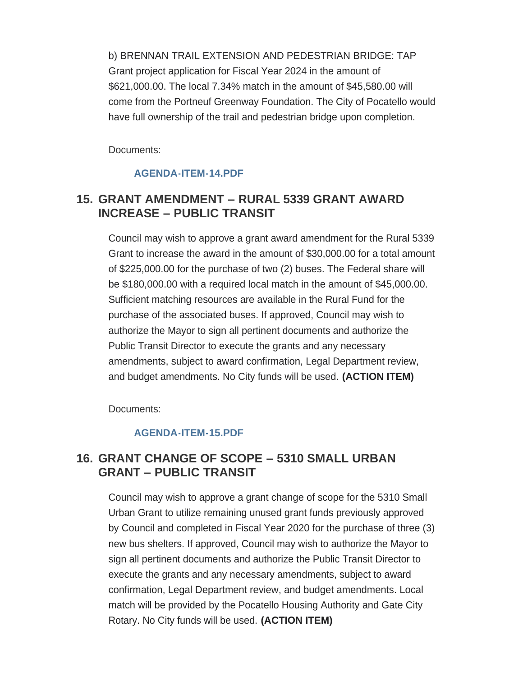b) BRENNAN TRAIL EXTENSION AND PEDESTRIAN BRIDGE: TAP Grant project application for Fiscal Year 2024 in the amount of \$621,000.00. The local 7.34% match in the amount of \$45,580.00 will come from the Portneuf Greenway Foundation. The City of Pocatello would have full ownership of the trail and pedestrian bridge upon completion.

Documents:

### **[AGENDA-ITEM-14.PDF](https://www.pocatello.us/AgendaCenter/ViewFile/Item/3179?fileID=10386)**

## **GRANT AMENDMENT – RURAL 5339 GRANT AWARD 15. INCREASE – PUBLIC TRANSIT**

Council may wish to approve a grant award amendment for the Rural 5339 Grant to increase the award in the amount of \$30,000.00 for a total amount of \$225,000.00 for the purchase of two (2) buses. The Federal share will be \$180,000.00 with a required local match in the amount of \$45,000.00. Sufficient matching resources are available in the Rural Fund for the purchase of the associated buses. If approved, Council may wish to authorize the Mayor to sign all pertinent documents and authorize the Public Transit Director to execute the grants and any necessary amendments, subject to award confirmation, Legal Department review, and budget amendments. No City funds will be used. **(ACTION ITEM)**

Documents:

#### **[AGENDA-ITEM-15.PDF](https://www.pocatello.us/AgendaCenter/ViewFile/Item/3180?fileID=10387)**

## **GRANT CHANGE OF SCOPE – 5310 SMALL URBAN 16. GRANT – PUBLIC TRANSIT**

Council may wish to approve a grant change of scope for the 5310 Small Urban Grant to utilize remaining unused grant funds previously approved by Council and completed in Fiscal Year 2020 for the purchase of three (3) new bus shelters. If approved, Council may wish to authorize the Mayor to sign all pertinent documents and authorize the Public Transit Director to execute the grants and any necessary amendments, subject to award confirmation, Legal Department review, and budget amendments. Local match will be provided by the Pocatello Housing Authority and Gate City Rotary. No City funds will be used. **(ACTION ITEM)**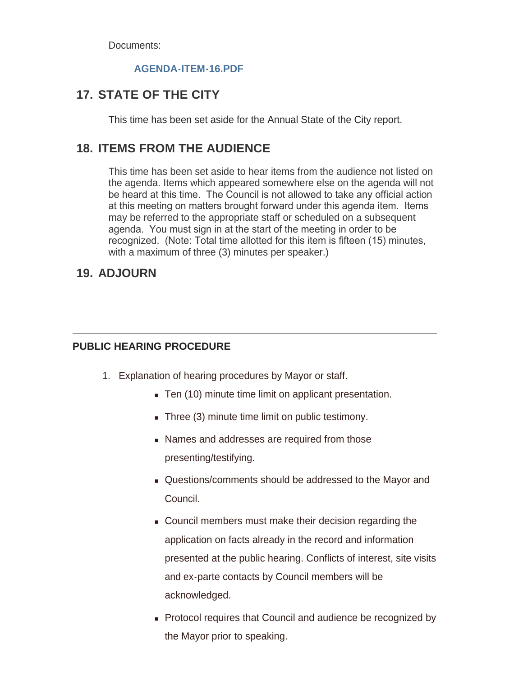Documents:

### **[AGENDA-ITEM-16.PDF](https://www.pocatello.us/AgendaCenter/ViewFile/Item/3181?fileID=10388)**

# **STATE OF THE CITY 17.**

This time has been set aside for the Annual State of the City report.

# **18. ITEMS FROM THE AUDIENCE**

This time has been set aside to hear items from the audience not listed on the agenda. Items which appeared somewhere else on the agenda will not be heard at this time. The Council is not allowed to take any official action at this meeting on matters brought forward under this agenda item. Items may be referred to the appropriate staff or scheduled on a subsequent agenda. You must sign in at the start of the meeting in order to be recognized. (Note: Total time allotted for this item is fifteen (15) minutes, with a maximum of three (3) minutes per speaker.)

## **ADJOURN 19.**

#### **PUBLIC HEARING PROCEDURE**

- 1. Explanation of hearing procedures by Mayor or staff.
	- Ten (10) minute time limit on applicant presentation.
	- $\blacksquare$  Three (3) minute time limit on public testimony.
	- **Names and addresses are required from those** presenting/testifying.
	- Questions/comments should be addressed to the Mayor and Council.
	- Council members must make their decision regarding the application on facts already in the record and information presented at the public hearing. Conflicts of interest, site visits and ex-parte contacts by Council members will be acknowledged.
	- **Protocol requires that Council and audience be recognized by** the Mayor prior to speaking.